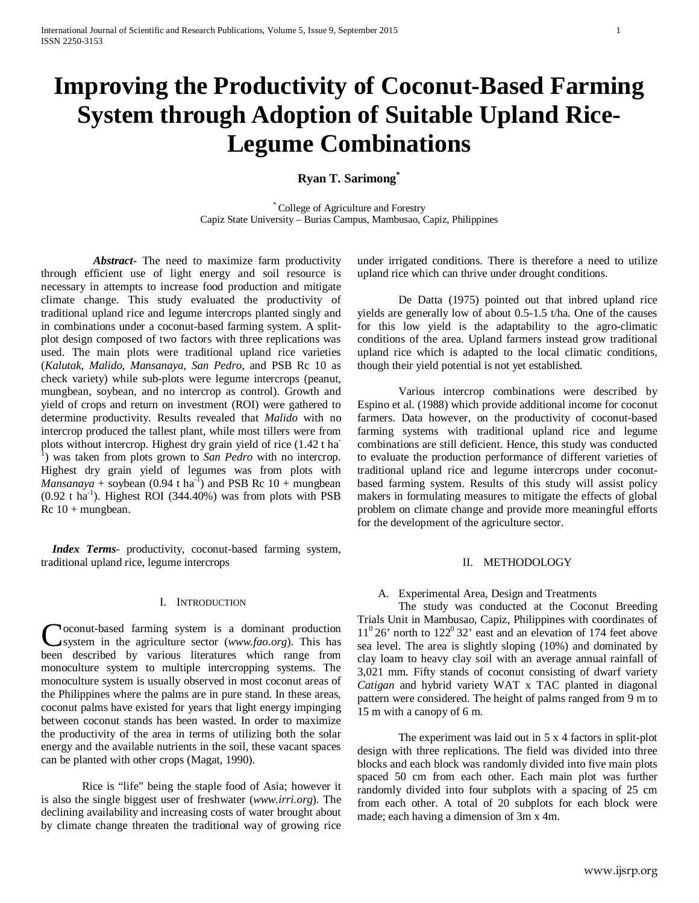# **Improving the Productivity of Coconut-Based Farming System through Adoption of Suitable Upland Rice-Legume Combinations**

# **Ryan T. Sarimong\***

\* College of Agriculture and Forestry Capiz State University – Burias Campus, Mambusao, Capiz, Philippines

 *Abstract***-** The need to maximize farm productivity through efficient use of light energy and soil resource is necessary in attempts to increase food production and mitigate climate change. This study evaluated the productivity of traditional upland rice and legume intercrops planted singly and in combinations under a coconut-based farming system. A splitplot design composed of two factors with three replications was used. The main plots were traditional upland rice varieties (*Kalutak, Malido, Mansanaya, San Pedro*, and PSB Rc 10 as check variety) while sub-plots were legume intercrops (peanut, mungbean, soybean, and no intercrop as control). Growth and yield of crops and return on investment (ROI) were gathered to determine productivity. Results revealed that *Malido* with no intercrop produced the tallest plant, while most tillers were from plots without intercrop. Highest dry grain yield of rice (1.42 t ha-1 ) was taken from plots grown to *San Pedro* with no intercrop. Highest dry grain yield of legumes was from plots with *Mansanaya* + soybean  $(0.94 \text{ t ha}^{-1})$  and PSB Rc 10 + mungbean  $(0.92 \text{ t ha}^{-1})$ . Highest ROI (344.40%) was from plots with PSB  $Rc 10 + m$ ungbean.

 *Index Terms*- productivity, coconut-based farming system, traditional upland rice, legume intercrops

# I. INTRODUCTION

oconut-based farming system is a dominant production system in the agriculture sector (*[www.fao.org](http://www.fao.org/)*). This has Coconut-based farming system is a dominant production<br>
system in the agriculture sector (www.fao.org). This has<br>
been described by various literatures which range from monoculture system to multiple intercropping systems. The monoculture system is usually observed in most coconut areas of the Philippines where the palms are in pure stand. In these areas, coconut palms have existed for years that light energy impinging between coconut stands has been wasted. In order to maximize the productivity of the area in terms of utilizing both the solar energy and the available nutrients in the soil, these vacant spaces can be planted with other crops (Magat, 1990).

Rice is "life" being the staple food of Asia; however it is also the single biggest user of freshwater (*[www.irri.org](http://www.irri.org/)*). The declining availability and increasing costs of water brought about by climate change threaten the traditional way of growing rice

under irrigated conditions. There is therefore a need to utilize upland rice which can thrive under drought conditions.

De Datta (1975) pointed out that inbred upland rice yields are generally low of about 0.5-1.5 t/ha. One of the causes for this low yield is the adaptability to the agro-climatic conditions of the area. Upland farmers instead grow traditional upland rice which is adapted to the local climatic conditions, though their yield potential is not yet established.

Various intercrop combinations were described by Espino et al. (1988) which provide additional income for coconut farmers. Data however, on the productivity of coconut-based farming systems with traditional upland rice and legume combinations are still deficient. Hence, this study was conducted to evaluate the production performance of different varieties of traditional upland rice and legume intercrops under coconutbased farming system. Results of this study will assist policy makers in formulating measures to mitigate the effects of global problem on climate change and provide more meaningful efforts for the development of the agriculture sector.

## II. METHODOLOGY

#### A. Experimental Area, Design and Treatments

The study was conducted at the Coconut Breeding Trials Unit in Mambusao, Capiz, Philippines with coordinates of  $11<sup>0</sup>$  26' north to  $122<sup>0</sup>$  32' east and an elevation of 174 feet above sea level. The area is slightly sloping (10%) and dominated by clay loam to heavy clay soil with an average annual rainfall of 3,021 mm. Fifty stands of coconut consisting of dwarf variety *Catigan* and hybrid variety WAT x TAC planted in diagonal pattern were considered. The height of palms ranged from 9 m to 15 m with a canopy of 6 m.

The experiment was laid out in 5 x 4 factors in split-plot design with three replications. The field was divided into three blocks and each block was randomly divided into five main plots spaced 50 cm from each other. Each main plot was further randomly divided into four subplots with a spacing of 25 cm from each other. A total of 20 subplots for each block were made; each having a dimension of 3m x 4m.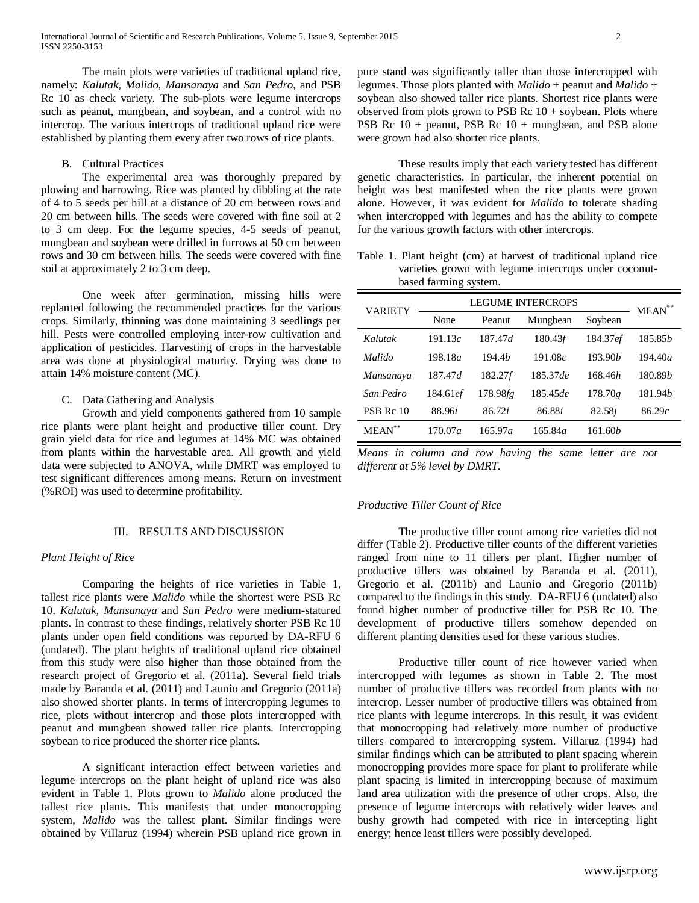The main plots were varieties of traditional upland rice, namely: *Kalutak, Malido, Mansanaya* and *San Pedro*, and PSB Rc 10 as check variety. The sub-plots were legume intercrops such as peanut, mungbean, and soybean, and a control with no intercrop. The various intercrops of traditional upland rice were established by planting them every after two rows of rice plants.

# B. Cultural Practices

The experimental area was thoroughly prepared by plowing and harrowing. Rice was planted by dibbling at the rate of 4 to 5 seeds per hill at a distance of 20 cm between rows and 20 cm between hills. The seeds were covered with fine soil at 2 to 3 cm deep. For the legume species, 4-5 seeds of peanut, mungbean and soybean were drilled in furrows at 50 cm between rows and 30 cm between hills. The seeds were covered with fine soil at approximately 2 to 3 cm deep.

One week after germination, missing hills were replanted following the recommended practices for the various crops. Similarly, thinning was done maintaining 3 seedlings per hill. Pests were controlled employing inter-row cultivation and application of pesticides. Harvesting of crops in the harvestable area was done at physiological maturity. Drying was done to attain 14% moisture content (MC).

# C. Data Gathering and Analysis

Growth and yield components gathered from 10 sample rice plants were plant height and productive tiller count. Dry grain yield data for rice and legumes at 14% MC was obtained from plants within the harvestable area. All growth and yield data were subjected to ANOVA, while DMRT was employed to test significant differences among means. Return on investment (%ROI) was used to determine profitability.

#### III. RESULTS AND DISCUSSION

# *Plant Height of Rice*

Comparing the heights of rice varieties in Table 1, tallest rice plants were *Malido* while the shortest were PSB Rc 10. *Kalutak, Mansanaya* and *San Pedro* were medium-statured plants. In contrast to these findings, relatively shorter PSB Rc 10 plants under open field conditions was reported by DA-RFU 6 (undated). The plant heights of traditional upland rice obtained from this study were also higher than those obtained from the research project of Gregorio et al. (2011a). Several field trials made by Baranda et al. (2011) and Launio and Gregorio (2011a) also showed shorter plants. In terms of intercropping legumes to rice, plots without intercrop and those plots intercropped with peanut and mungbean showed taller rice plants. Intercropping soybean to rice produced the shorter rice plants.

A significant interaction effect between varieties and legume intercrops on the plant height of upland rice was also evident in Table 1. Plots grown to *Malido* alone produced the tallest rice plants. This manifests that under monocropping system, *Malido* was the tallest plant. Similar findings were obtained by Villaruz (1994) wherein PSB upland rice grown in pure stand was significantly taller than those intercropped with legumes. Those plots planted with *Malido* + peanut and *Malido* + soybean also showed taller rice plants. Shortest rice plants were observed from plots grown to PSB Rc  $10 +$  soybean. Plots where PSB Rc 10 + peanut, PSB Rc 10 + mungbean, and PSB alone were grown had also shorter rice plants.

These results imply that each variety tested has different genetic characteristics. In particular, the inherent potential on height was best manifested when the rice plants were grown alone. However, it was evident for *Malido* to tolerate shading when intercropped with legumes and has the ability to compete for the various growth factors with other intercrops.

Table 1. Plant height (cm) at harvest of traditional upland rice varieties grown with legume intercrops under coconutbased farming system.

| <b>VARIETY</b> | <b>LEGUME INTERCROPS</b> | $MEAN$ **          |          |                     |                 |
|----------------|--------------------------|--------------------|----------|---------------------|-----------------|
|                | None                     | Peanut             | Mungbean | Soybean             |                 |
| Kalutak        | 191.13c                  | 187.47d            | 180.43f  | 184.37ef            | 185.85 <i>b</i> |
| Malido         | 198.18a                  | 194.4 <sub>b</sub> | 191.08c  | 193.90 <i>b</i>     | 194.40a         |
| Mansanaya      | 187.47 <i>d</i>          | 182.27f            | 185.37de | 168.46h             | 180.89 <i>b</i> |
| San Pedro      | 184.61 <i>ef</i>         | 178.98fg           | 185.45de | 178.70g             | 181.94 <i>b</i> |
| PSB Rc 10      | 88.96i                   | 86.72i             | 86.88i   | 82.58i              | 86.29c          |
| $MEAN**$       | 170.07a                  | 165.97a            | 165.84a  | 161.60 <sub>b</sub> |                 |

*Means in column and row having the same letter are not different at 5% level by DMRT.*

#### *Productive Tiller Count of Rice*

The productive tiller count among rice varieties did not differ (Table 2). Productive tiller counts of the different varieties ranged from nine to 11 tillers per plant. Higher number of productive tillers was obtained by Baranda et al. (2011), Gregorio et al. (2011b) and Launio and Gregorio (2011b) compared to the findings in this study. DA-RFU 6 (undated) also found higher number of productive tiller for PSB Rc 10. The development of productive tillers somehow depended on different planting densities used for these various studies.

Productive tiller count of rice however varied when intercropped with legumes as shown in Table 2. The most number of productive tillers was recorded from plants with no intercrop. Lesser number of productive tillers was obtained from rice plants with legume intercrops. In this result, it was evident that monocropping had relatively more number of productive tillers compared to intercropping system. Villaruz (1994) had similar findings which can be attributed to plant spacing wherein monocropping provides more space for plant to proliferate while plant spacing is limited in intercropping because of maximum land area utilization with the presence of other crops. Also, the presence of legume intercrops with relatively wider leaves and bushy growth had competed with rice in intercepting light energy; hence least tillers were possibly developed.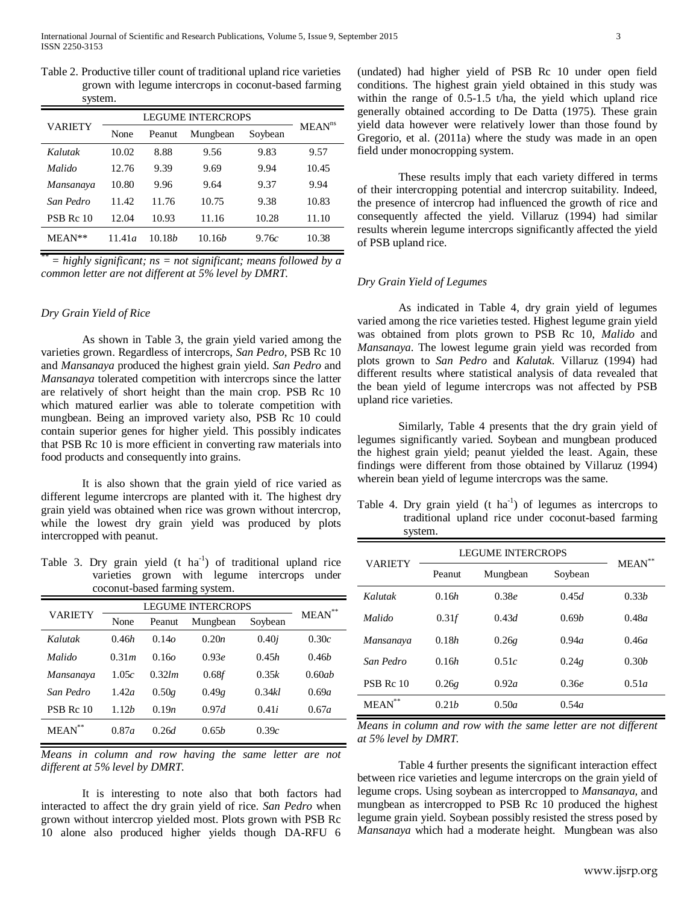| Table 2. Productive tiller count of traditional upland rice varieties |
|-----------------------------------------------------------------------|
| grown with legume intercrops in coconut-based farming                 |
| system.                                                               |

|           | <b>LEGUME INTERCROPS</b> |                |                    |         |                    |
|-----------|--------------------------|----------------|--------------------|---------|--------------------|
| VARIETY   | None                     | Peanut         | Mungbean           | Soybean | MEAN <sup>ns</sup> |
| Kalutak   | 10.02                    | 8.88           | 9.56               | 9.83    | 9.57               |
| Malido    | 12.76                    | 9.39           | 9.69               | 9.94    | 10.45              |
| Mansanaya | 10.80                    | 9.96           | 9.64               | 9.37    | 9.94               |
| San Pedro | 11.42                    | 11.76          | 10.75              | 9.38    | 10.83              |
| PSB Rc 10 | 12.04                    | 10.93          | 11.16              | 10.28   | 11.10              |
| MEAN**    | 11.41 $a$                | 10.18 <i>b</i> | 10.16 <sub>b</sub> | 9.76c   | 10.38              |

*<sup>\*\*</sup> = highly significant; ns = not significant; means followed by a common letter are not different at 5% level by DMRT.*

# *Dry Grain Yield of Rice*

As shown in Table 3, the grain yield varied among the varieties grown. Regardless of intercrops, *San Pedro*, PSB Rc 10 and *Mansanaya* produced the highest grain yield. *San Pedro* and *Mansanaya* tolerated competition with intercrops since the latter are relatively of short height than the main crop. PSB Rc 10 which matured earlier was able to tolerate competition with mungbean. Being an improved variety also, PSB Rc 10 could contain superior genes for higher yield. This possibly indicates that PSB Rc 10 is more efficient in converting raw materials into food products and consequently into grains.

It is also shown that the grain yield of rice varied as different legume intercrops are planted with it. The highest dry grain yield was obtained when rice was grown without intercrop, while the lowest dry grain yield was produced by plots intercropped with peanut.

Table 3. Dry grain yield  $(t \text{ ha}^{-1})$  of traditional upland rice varieties grown with legume intercrops under coconut-based farming system.

| VARIETY     |       | $MEAN**$            |          |         |        |
|-------------|-------|---------------------|----------|---------|--------|
|             | None  | Peanut              | Mungbean | Soybean |        |
| Kalutak     | 0.46h | 0.14 <sub>o</sub>   | 0.20n    | 0.40i   | 0.30c  |
| Malido      | 0.31m | 0.16 <sub>o</sub>   | 0.93e    | 0.45h   | 0.46h  |
| Mansanaya   | 1.05c | $0.32 \, \text{km}$ | 0.68f    | 0.35k   | 0.60ab |
| San Pedro   | 1.42a | 0.50g               | 0.49g    | 0.34kl  | 0.69a  |
| PSB Rc 10   | 1.12h | 0.19n               | 0.97d    | 0.41i   | 0.67a  |
| <b>MEAN</b> | 0.87a | 0.26d               | 0.65h    | 0.39c   |        |

*Means in column and row having the same letter are not different at 5% level by DMRT.*

It is interesting to note also that both factors had interacted to affect the dry grain yield of rice. *San Pedro* when grown without intercrop yielded most. Plots grown with PSB Rc 10 alone also produced higher yields though DA-RFU 6 (undated) had higher yield of PSB Rc 10 under open field conditions. The highest grain yield obtained in this study was within the range of 0.5-1.5 t/ha, the yield which upland rice generally obtained according to De Datta (1975). These grain yield data however were relatively lower than those found by Gregorio, et al. (2011a) where the study was made in an open field under monocropping system.

These results imply that each variety differed in terms of their intercropping potential and intercrop suitability. Indeed, the presence of intercrop had influenced the growth of rice and consequently affected the yield. Villaruz (1994) had similar results wherein legume intercrops significantly affected the yield of PSB upland rice.

# *Dry Grain Yield of Legumes*

As indicated in Table 4, dry grain yield of legumes varied among the rice varieties tested. Highest legume grain yield was obtained from plots grown to PSB Rc 10, *Malido* and *Mansanaya*. The lowest legume grain yield was recorded from plots grown to *San Pedro* and *Kalutak*. Villaruz (1994) had different results where statistical analysis of data revealed that the bean yield of legume intercrops was not affected by PSB upland rice varieties.

Similarly, Table 4 presents that the dry grain yield of legumes significantly varied. Soybean and mungbean produced the highest grain yield; peanut yielded the least. Again, these findings were different from those obtained by Villaruz (1994) wherein bean yield of legume intercrops was the same.

Table 4. Dry grain yield  $(t \ ha^{-1})$  of legumes as intercrops to traditional upland rice under coconut-based farming system.

|             | <b>LEGUME INTERCROPS</b> | MEAN**              |                   |       |
|-------------|--------------------------|---------------------|-------------------|-------|
| VARIETY     | Peanut                   | Soybean<br>Mungbean |                   |       |
| Kalutak     | 0.16h                    | 0.38e               | 0.45d             | 0.33h |
| Malido      | 0.31f                    | 0.43d               | 0.69 <sub>b</sub> | 0.48a |
| Mansanaya   | 0.18h                    | 0.26g               | 0.94a             | 0.46a |
| San Pedro   | 0.16h                    | 0.51c               | 0.24g             | 0.30h |
| PSB Rc 10   | 0.26g                    | 0.92a               | 0.36e             | 0.51a |
| <b>MEAN</b> | 0.21h                    | 0.50a               | 0.54a             |       |

*Means in column and row with the same letter are not different at 5% level by DMRT.*

Table 4 further presents the significant interaction effect between rice varieties and legume intercrops on the grain yield of legume crops. Using soybean as intercropped to *Mansanaya,* and mungbean as intercropped to PSB Rc 10 produced the highest legume grain yield. Soybean possibly resisted the stress posed by *Mansanaya* which had a moderate height. Mungbean was also